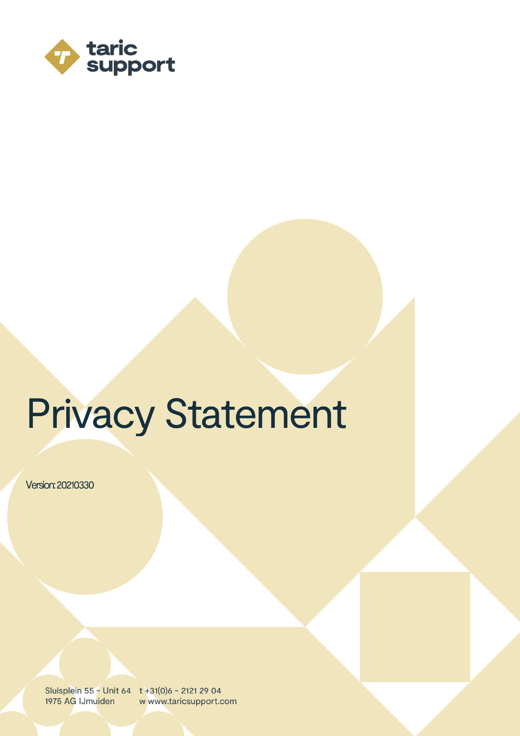

# **Privacy Statement**

Version: 20210330

Sluisplein 55 - Unit 64 t +31(0)6 - 2121 29 04 1975 AG IJmuiden w www.taricsupport.com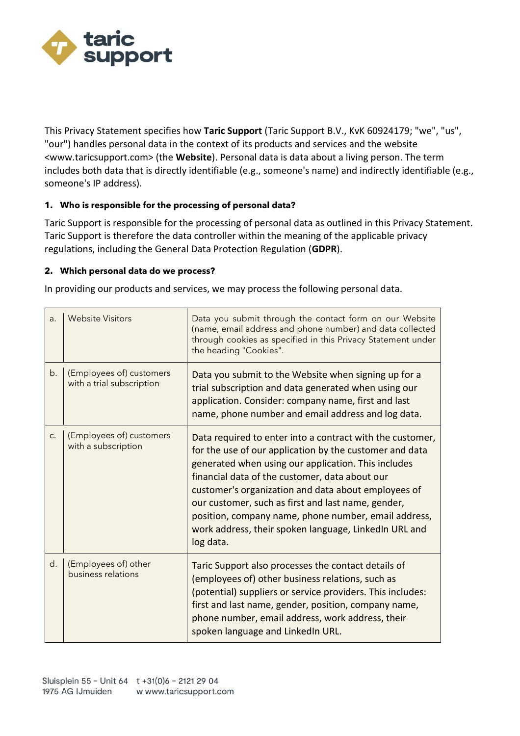

This Privacy Statement specifies how **Taric Support** (Taric Support B.V., KvK 60924179; "we", "us", "our") handles personal data in the context of its products and services and the website <www.taricsupport.com> (the **Website**). Personal data is data about a living person. The term includes both data that is directly identifiable (e.g., someone's name) and indirectly identifiable (e.g., someone's IP address).

# **1. Who is responsible for the processing of personal data?**

Taric Support is responsible for the processing of personal data as outlined in this Privacy Statement. Taric Support is therefore the data controller within the meaning of the applicable privacy regulations, including the General Data Protection Regulation (**GDPR**).

#### **2. Which personal data do we process?**

In providing our products and services, we may process the following personal data.

| a. | <b>Website Visitors</b>                               | Data you submit through the contact form on our Website<br>(name, email address and phone number) and data collected<br>through cookies as specified in this Privacy Statement under<br>the heading "Cookies".                                                                                                                                                                                                                                                           |
|----|-------------------------------------------------------|--------------------------------------------------------------------------------------------------------------------------------------------------------------------------------------------------------------------------------------------------------------------------------------------------------------------------------------------------------------------------------------------------------------------------------------------------------------------------|
| b. | (Employees of) customers<br>with a trial subscription | Data you submit to the Website when signing up for a<br>trial subscription and data generated when using our<br>application. Consider: company name, first and last<br>name, phone number and email address and log data.                                                                                                                                                                                                                                                |
| c. | (Employees of) customers<br>with a subscription       | Data required to enter into a contract with the customer,<br>for the use of our application by the customer and data<br>generated when using our application. This includes<br>financial data of the customer, data about our<br>customer's organization and data about employees of<br>our customer, such as first and last name, gender,<br>position, company name, phone number, email address,<br>work address, their spoken language, LinkedIn URL and<br>log data. |
| d. | (Employees of) other<br>business relations            | Taric Support also processes the contact details of<br>(employees of) other business relations, such as<br>(potential) suppliers or service providers. This includes:<br>first and last name, gender, position, company name,<br>phone number, email address, work address, their<br>spoken language and LinkedIn URL.                                                                                                                                                   |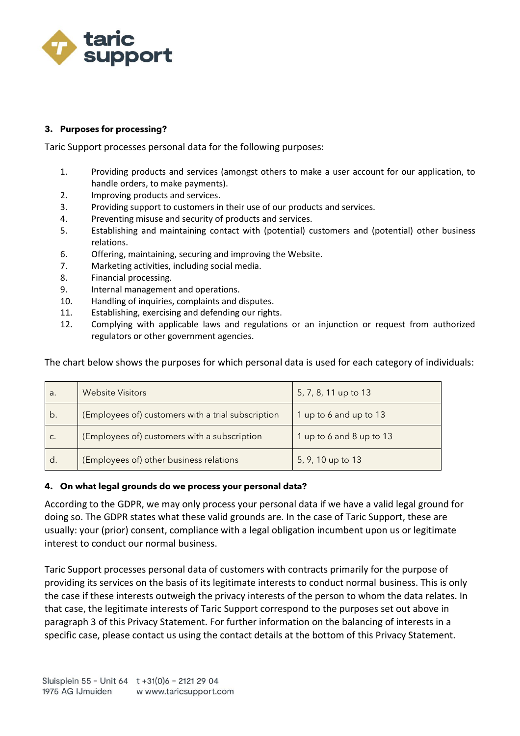

### **3. Purposes for processing?**

Taric Support processes personal data for the following purposes:

- 1. Providing products and services (amongst others to make a user account for our application, to handle orders, to make payments).
- 2. Improving products and services.
- 3. Providing support to customers in their use of our products and services.
- 4. Preventing misuse and security of products and services.
- 5. Establishing and maintaining contact with (potential) customers and (potential) other business relations.
- 6. Offering, maintaining, securing and improving the Website.
- 7. Marketing activities, including social media.
- 8. Financial processing.
- 9. Internal management and operations.
- 10. Handling of inquiries, complaints and disputes.
- 11. Establishing, exercising and defending our rights.
- 12. Complying with applicable laws and regulations or an injunction or request from authorized regulators or other government agencies.

The chart below shows the purposes for which personal data is used for each category of individuals:

| a. | <b>Website Visitors</b>                            | 5, 7, 8, 11 up to 13     |
|----|----------------------------------------------------|--------------------------|
| b. | (Employees of) customers with a trial subscription | 1 up to 6 and up to 13   |
| C. | (Employees of) customers with a subscription       | 1 up to 6 and 8 up to 13 |
| d. | (Employees of) other business relations            | 5, 9, 10 up to 13        |

#### **4. On what legal grounds do we process your personal data?**

According to the GDPR, we may only process your personal data if we have a valid legal ground for doing so. The GDPR states what these valid grounds are. In the case of Taric Support, these are usually: your (prior) consent, compliance with a legal obligation incumbent upon us or legitimate interest to conduct our normal business.

Taric Support processes personal data of customers with contracts primarily for the purpose of providing its services on the basis of its legitimate interests to conduct normal business. This is only the case if these interests outweigh the privacy interests of the person to whom the data relates. In that case, the legitimate interests of Taric Support correspond to the purposes set out above in paragraph 3 of this Privacy Statement. For further information on the balancing of interests in a specific case, please contact us using the contact details at the bottom of this Privacy Statement.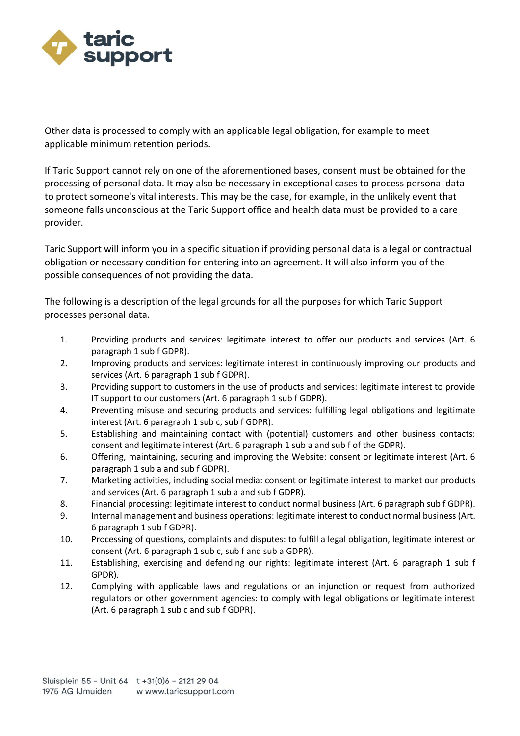

Other data is processed to comply with an applicable legal obligation, for example to meet applicable minimum retention periods.

If Taric Support cannot rely on one of the aforementioned bases, consent must be obtained for the processing of personal data. It may also be necessary in exceptional cases to process personal data to protect someone's vital interests. This may be the case, for example, in the unlikely event that someone falls unconscious at the Taric Support office and health data must be provided to a care provider.

Taric Support will inform you in a specific situation if providing personal data is a legal or contractual obligation or necessary condition for entering into an agreement. It will also inform you of the possible consequences of not providing the data.

The following is a description of the legal grounds for all the purposes for which Taric Support processes personal data.

- 1. Providing products and services: legitimate interest to offer our products and services (Art. 6 paragraph 1 sub f GDPR).
- 2. Improving products and services: legitimate interest in continuously improving our products and services (Art. 6 paragraph 1 sub f GDPR).
- 3. Providing support to customers in the use of products and services: legitimate interest to provide IT support to our customers (Art. 6 paragraph 1 sub f GDPR).
- 4. Preventing misuse and securing products and services: fulfilling legal obligations and legitimate interest (Art. 6 paragraph 1 sub c, sub f GDPR).
- 5. Establishing and maintaining contact with (potential) customers and other business contacts: consent and legitimate interest (Art. 6 paragraph 1 sub a and sub f of the GDPR).
- 6. Offering, maintaining, securing and improving the Website: consent or legitimate interest (Art. 6 paragraph 1 sub a and sub f GDPR).
- 7. Marketing activities, including social media: consent or legitimate interest to market our products and services (Art. 6 paragraph 1 sub a and sub f GDPR).
- 8. Financial processing: legitimate interest to conduct normal business (Art. 6 paragraph sub f GDPR).
- 9. Internal management and business operations: legitimate interest to conduct normal business (Art. 6 paragraph 1 sub f GDPR).
- 10. Processing of questions, complaints and disputes: to fulfill a legal obligation, legitimate interest or consent (Art. 6 paragraph 1 sub c, sub f and sub a GDPR).
- 11. Establishing, exercising and defending our rights: legitimate interest (Art. 6 paragraph 1 sub f GPDR).
- 12. Complying with applicable laws and regulations or an injunction or request from authorized regulators or other government agencies: to comply with legal obligations or legitimate interest (Art. 6 paragraph 1 sub c and sub f GDPR).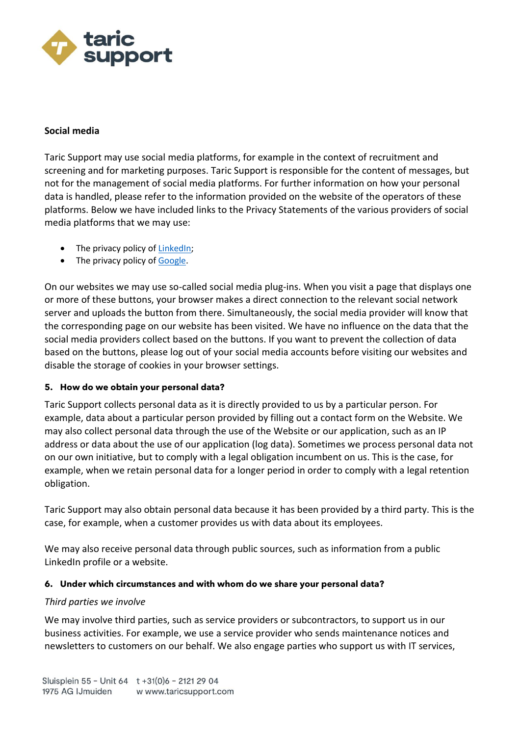

### **Social media**

Taric Support may use social media platforms, for example in the context of recruitment and screening and for marketing purposes. Taric Support is responsible for the content of messages, but not for the management of social media platforms. For further information on how your personal data is handled, please refer to the information provided on the website of the operators of these platforms. Below we have included links to the Privacy Statements of the various providers of social media platforms that we may use:

- The privacy policy of [LinkedIn;](https://www.linkedin.com/legal/privacy-policy?trk=%7Berror-page%7D-privacy-policy)
- The privacy policy of [Google.](https://policies.google.com/privacy)

On our websites we may use so-called social media plug-ins. When you visit a page that displays one or more of these buttons, your browser makes a direct connection to the relevant social network server and uploads the button from there. Simultaneously, the social media provider will know that the corresponding page on our website has been visited. We have no influence on the data that the social media providers collect based on the buttons. If you want to prevent the collection of data based on the buttons, please log out of your social media accounts before visiting our websites and disable the storage of cookies in your browser settings.

#### **5. How do we obtain your personal data?**

Taric Support collects personal data as it is directly provided to us by a particular person. For example, data about a particular person provided by filling out a contact form on the Website. We may also collect personal data through the use of the Website or our application, such as an IP address or data about the use of our application (log data). Sometimes we process personal data not on our own initiative, but to comply with a legal obligation incumbent on us. This is the case, for example, when we retain personal data for a longer period in order to comply with a legal retention obligation.

Taric Support may also obtain personal data because it has been provided by a third party. This is the case, for example, when a customer provides us with data about its employees.

We may also receive personal data through public sources, such as information from a public LinkedIn profile or a website.

#### **6. Under which circumstances and with whom do we share your personal data?**

#### *Third parties we involve*

We may involve third parties, such as service providers or subcontractors, to support us in our business activities. For example, we use a service provider who sends maintenance notices and newsletters to customers on our behalf. We also engage parties who support us with IT services,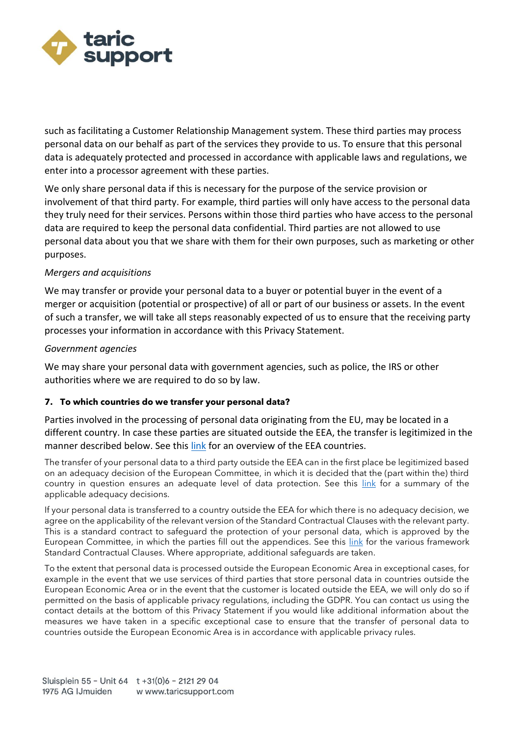

such as facilitating a Customer Relationship Management system. These third parties may process personal data on our behalf as part of the services they provide to us. To ensure that this personal data is adequately protected and processed in accordance with applicable laws and regulations, we enter into a processor agreement with these parties.

We only share personal data if this is necessary for the purpose of the service provision or involvement of that third party. For example, third parties will only have access to the personal data they truly need for their services. Persons within those third parties who have access to the personal data are required to keep the personal data confidential. Third parties are not allowed to use personal data about you that we share with them for their own purposes, such as marketing or other purposes.

# *Mergers and acquisitions*

We may transfer or provide your personal data to a buyer or potential buyer in the event of a merger or acquisition (potential or prospective) of all or part of our business or assets. In the event of such a transfer, we will take all steps reasonably expected of us to ensure that the receiving party processes your information in accordance with this Privacy Statement.

#### *Government agencies*

We may share your personal data with government agencies, such as police, the IRS or other authorities where we are required to do so by law.

#### **7. To which countries do we transfer your personal data?**

Parties involved in the processing of personal data originating from the EU, may be located in a different country. In case these parties are situated outside the EEA, the transfer is legitimized in the manner described below. See this [link](https://ind.nl/en/Pages/eu-eea-countries.aspx) for an overview of the EEA countries.

The transfer of your personal data to a third party outside the EEA can in the first place be legitimized based on an adequacy decision of the European Committee, in which it is decided that the (part within the) third country in question ensures an adequate level of data protection. See this [link](https://ec.europa.eu/info/law/law-topic/data-protection/international-dimension-data-protection/adequacy-decisions_nl) for a summary of the applicable adequacy decisions.

If your personal data is transferred to a country outside the EEA for which there is no adequacy decision, we agree on the applicability of the relevant version of the Standard Contractual Clauses with the relevant party. This is a standard contract to safeguard the protection of your personal data, which is approved by the European Committee, in which the parties fill out the appendices. See this [link](https://ec.europa.eu/info/law/law-topic/data-protection/international-dimension-data-protection/standard-contractual-clauses-scc_nl) for the various framework Standard Contractual Clauses. Where appropriate, additional safeguards are taken.

To the extent that personal data is processed outside the European Economic Area in exceptional cases, for example in the event that we use services of third parties that store personal data in countries outside the European Economic Area or in the event that the customer is located outside the EEA, we will only do so if permitted on the basis of applicable privacy regulations, including the GDPR. You can contact us using the contact details at the bottom of this Privacy Statement if you would like additional information about the measures we have taken in a specific exceptional case to ensure that the transfer of personal data to countries outside the European Economic Area is in accordance with applicable privacy rules.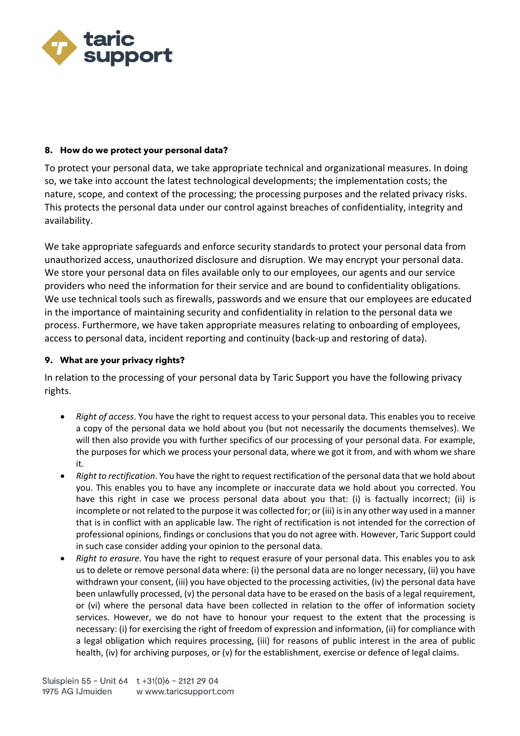

#### **8. How do we protect your personal data?**

To protect your personal data, we take appropriate technical and organizational measures. In doing so, we take into account the latest technological developments; the implementation costs; the nature, scope, and context of the processing; the processing purposes and the related privacy risks. This protects the personal data under our control against breaches of confidentiality, integrity and availability.

We take appropriate safeguards and enforce security standards to protect your personal data from unauthorized access, unauthorized disclosure and disruption. We may encrypt your personal data. We store your personal data on files available only to our employees, our agents and our service providers who need the information for their service and are bound to confidentiality obligations. We use technical tools such as firewalls, passwords and we ensure that our employees are educated in the importance of maintaining security and confidentiality in relation to the personal data we process. Furthermore, we have taken appropriate measures relating to onboarding of employees, access to personal data, incident reporting and continuity (back-up and restoring of data).

# **9. What are your privacy rights?**

In relation to the processing of your personal data by Taric Support you have the following privacy rights.

- *Right of access*. You have the right to request access to your personal data. This enables you to receive a copy of the personal data we hold about you (but not necessarily the documents themselves). We will then also provide you with further specifics of our processing of your personal data. For example, the purposes for which we process your personal data, where we got it from, and with whom we share it.
- *Right to rectification*. You have the right to request rectification of the personal data that we hold about you. This enables you to have any incomplete or inaccurate data we hold about you corrected. You have this right in case we process personal data about you that: (i) is factually incorrect; (ii) is incomplete or not related to the purpose it was collected for; or (iii) is in any other way used in a manner that is in conflict with an applicable law. The right of rectification is not intended for the correction of professional opinions, findings or conclusions that you do not agree with. However, Taric Support could in such case consider adding your opinion to the personal data.
- *Right to erasure*. You have the right to request erasure of your personal data. This enables you to ask us to delete or remove personal data where: (i) the personal data are no longer necessary, (ii) you have withdrawn your consent, (iii) you have objected to the processing activities, (iv) the personal data have been unlawfully processed, (v) the personal data have to be erased on the basis of a legal requirement, or (vi) where the personal data have been collected in relation to the offer of information society services. However, we do not have to honour your request to the extent that the processing is necessary: (i) for exercising the right of freedom of expression and information, (ii) for compliance with a legal obligation which requires processing, (iii) for reasons of public interest in the area of public health, (iv) for archiving purposes, or (v) for the establishment, exercise or defence of legal claims.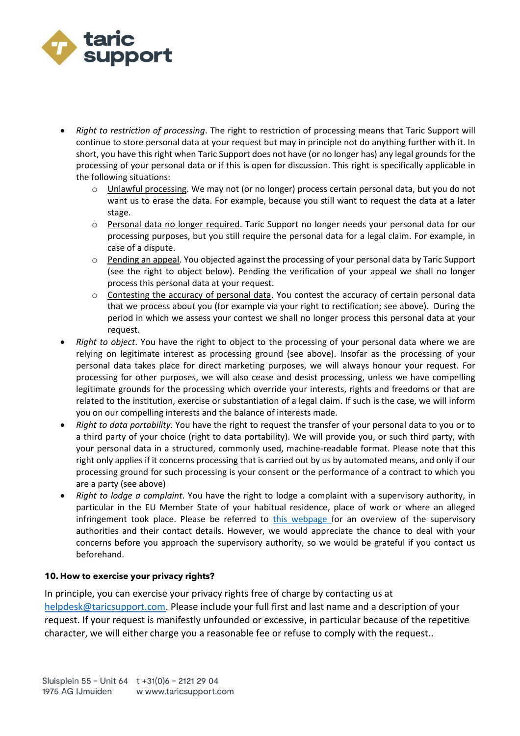

- *Right to restriction of processing*. The right to restriction of processing means that Taric Support will continue to store personal data at your request but may in principle not do anything further with it. In short, you have this right when Taric Support does not have (or no longer has) any legal grounds for the processing of your personal data or if this is open for discussion. This right is specifically applicable in the following situations:
	- o Unlawful processing. We may not (or no longer) process certain personal data, but you do not want us to erase the data. For example, because you still want to request the data at a later stage.
	- o Personal data no longer required. Taric Support no longer needs your personal data for our processing purposes, but you still require the personal data for a legal claim. For example, in case of a dispute.
	- $\circ$  Pending an appeal. You objected against the processing of your personal data by Taric Support (see the right to object below). Pending the verification of your appeal we shall no longer process this personal data at your request.
	- o Contesting the accuracy of personal data. You contest the accuracy of certain personal data that we process about you (for example via your right to rectification; see above). During the period in which we assess your contest we shall no longer process this personal data at your request.
- *Right to object*. You have the right to object to the processing of your personal data where we are relying on legitimate interest as processing ground (see above). Insofar as the processing of your personal data takes place for direct marketing purposes, we will always honour your request. For processing for other purposes, we will also cease and desist processing, unless we have compelling legitimate grounds for the processing which override your interests, rights and freedoms or that are related to the institution, exercise or substantiation of a legal claim. If such is the case, we will inform you on our compelling interests and the balance of interests made.
- *Right to data portability*. You have the right to request the transfer of your personal data to you or to a third party of your choice (right to data portability). We will provide you, or such third party, with your personal data in a structured, commonly used, machine-readable format. Please note that this right only applies if it concerns processing that is carried out by us by automated means, and only if our processing ground for such processing is your consent or the performance of a contract to which you are a party (see above)
- *Right to lodge a complaint*. You have the right to lodge a complaint with a supervisory authority, in particular in the EU Member State of your habitual residence, place of work or where an alleged infringement took place. Please be referred to  $\frac{this}{kb;webpage}$  for an overview of the supervisory authorities and their contact details. However, we would appreciate the chance to deal with your concerns before you approach the supervisory authority, so we would be grateful if you contact us beforehand.

#### **10. How to exercise your privacy rights?**

In principle, you can exercise your privacy rights free of charge by contacting us at [helpdesk@taricsupport.com.](mailto:helpdesk@taricsupport.com) Please include your full first and last name and a description of your request. If your request is manifestly unfounded or excessive, in particular because of the repetitive character, we will either charge you a reasonable fee or refuse to comply with the request..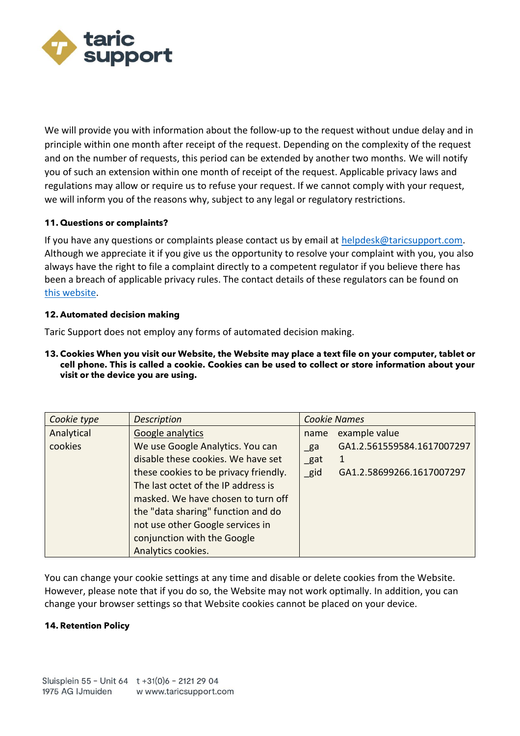

We will provide you with information about the follow-up to the request without undue delay and in principle within one month after receipt of the request. Depending on the complexity of the request and on the number of requests, this period can be extended by another two months. We will notify you of such an extension within one month of receipt of the request. Applicable privacy laws and regulations may allow or require us to refuse your request. If we cannot comply with your request, we will inform you of the reasons why, subject to any legal or regulatory restrictions.

#### **11. Questions or complaints?**

If you have any questions or complaints please contact us by email at [helpdesk@taricsupport.com.](mailto:helpdesk@taricsupport.com) Although we appreciate it if you give us the opportunity to resolve your complaint with you, you also always have the right to file a complaint directly to a competent regulator if you believe there has been a breach of applicable privacy rules. The contact details of these regulators can be found on [this website.](https://edpb.europa.eu/about-edpb/board/members_en)

# **12. Automated decision making**

Taric Support does not employ any forms of automated decision making.

**13. Cookies When you visit our Website, the Website may place a text file on your computer, tablet or cell phone. This is called a cookie. Cookies can be used to collect or store information about your visit or the device you are using.**

| Cookie type | <b>Description</b>                    | <b>Cookie Names</b> |                            |
|-------------|---------------------------------------|---------------------|----------------------------|
| Analytical  | Google analytics                      | name                | example value              |
| cookies     | We use Google Analytics. You can      | $g$ a               | GA1.2.561559584.1617007297 |
|             | disable these cookies. We have set    | $_{\text{gat}}$     | 1                          |
|             | these cookies to be privacy friendly. | $\_$ gid            | GA1.2.58699266.1617007297  |
|             | The last octet of the IP address is   |                     |                            |
|             | masked. We have chosen to turn off    |                     |                            |
|             | the "data sharing" function and do    |                     |                            |
|             | not use other Google services in      |                     |                            |
|             | conjunction with the Google           |                     |                            |
|             | Analytics cookies.                    |                     |                            |

You can change your cookie settings at any time and disable or delete cookies from the Website. However, please note that if you do so, the Website may not work optimally. In addition, you can change your browser settings so that Website cookies cannot be placed on your device.

#### **14. Retention Policy**